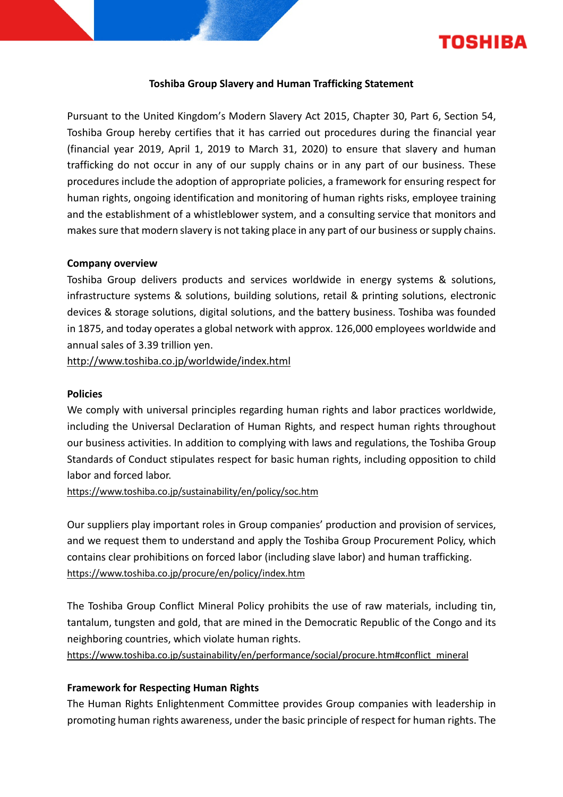

### **Toshiba Group Slavery and Human Trafficking Statement**

Pursuant to the United Kingdom's Modern Slavery Act 2015, Chapter 30, Part 6, Section 54, Toshiba Group hereby certifies that it has carried out procedures during the financial year (financial year 2019, April 1, 2019 to March 31, 2020) to ensure that slavery and human trafficking do not occur in any of our supply chains or in any part of our business. These procedures include the adoption of appropriate policies, a framework for ensuring respect for human rights, ongoing identification and monitoring of human rights risks, employee training and the establishment of a whistleblower system, and a consulting service that monitors and makes sure that modern slavery is not taking place in any part of our business or supply chains.

### **Company overview**

Toshiba Group delivers products and services worldwide in energy systems & solutions, infrastructure systems & solutions, building solutions, retail & printing solutions, electronic devices & storage solutions, digital solutions, and the battery business. Toshiba was founded in 1875, and today operates a global network with approx. 126,000 employees worldwide and annual sales of 3.39 trillion yen.

<http://www.toshiba.co.jp/worldwide/index.html>

#### **Policies**

We comply with universal principles regarding human rights and labor practices worldwide, including the Universal Declaration of Human Rights, and respect human rights throughout our business activities. In addition to complying with laws and regulations, the Toshiba Group Standards of Conduct stipulates respect for basic human rights, including opposition to child labor and forced labor.

<https://www.toshiba.co.jp/sustainability/en/policy/soc.htm>

Our suppliers play important roles in Group companies' production and provision of services, and we request them to understand and apply the Toshiba Group Procurement Policy, which contains clear prohibitions on forced labor (including slave labor) and human trafficking. <https://www.toshiba.co.jp/procure/en/policy/index.htm>

The Toshiba Group Conflict Mineral Policy prohibits the use of raw materials, including tin, tantalum, tungsten and gold, that are mined in the Democratic Republic of the Congo and its neighboring countries, which violate human rights.

[https://www.toshiba.co.jp/sustainability/en/performance/social/procure.htm#conflict\\_mineral](https://www.toshiba.co.jp/sustainability/en/performance/social/procure.htm#conflict_mineral)

## **Framework for Respecting Human Rights**

The Human Rights Enlightenment Committee provides Group companies with leadership in promoting human rights awareness, under the basic principle of respect for human rights. The